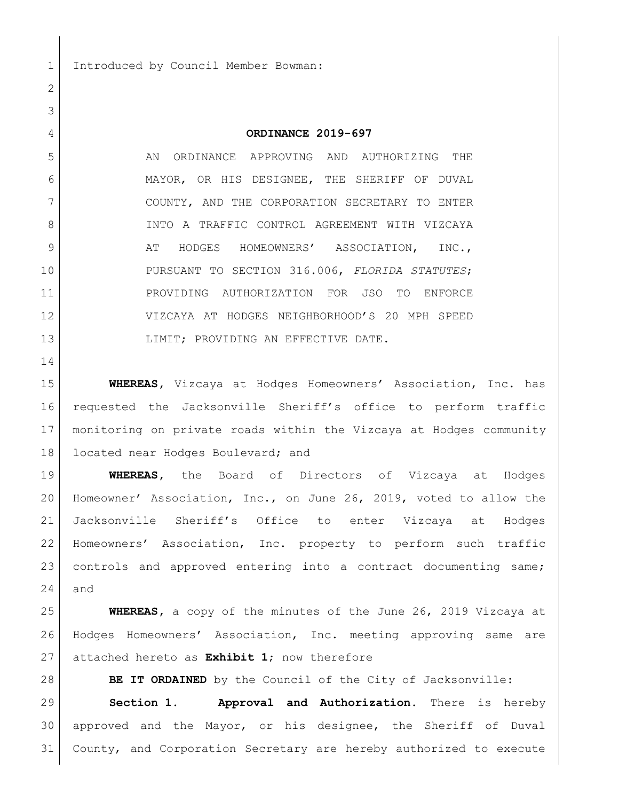Introduced by Council Member Bowman:

## **ORDINANCE 2019-697**

5 AN ORDINANCE APPROVING AND AUTHORIZING THE MAYOR, OR HIS DESIGNEE, THE SHERIFF OF DUVAL COUNTY, AND THE CORPORATION SECRETARY TO ENTER 8 INTO A TRAFFIC CONTROL AGREEMENT WITH VIZCAYA 9 AT HODGES HOMEOWNERS' ASSOCIATION, INC., PURSUANT TO SECTION 316.006, *FLORIDA STATUTES*; PROVIDING AUTHORIZATION FOR JSO TO ENFORCE VIZCAYA AT HODGES NEIGHBORHOOD'S 20 MPH SPEED 13 | LIMIT; PROVIDING AN EFFECTIVE DATE.

 **WHEREAS,** Vizcaya at Hodges Homeowners' Association, Inc. has requested the Jacksonville Sheriff's office to perform traffic monitoring on private roads within the Vizcaya at Hodges community 18 located near Hodges Boulevard; and

 **WHEREAS,** the Board of Directors of Vizcaya at Hodges Homeowner' Association, Inc., on June 26, 2019, voted to allow the Jacksonville Sheriff's Office to enter Vizcaya at Hodges Homeowners' Association, Inc. property to perform such traffic 23 controls and approved entering into a contract documenting same; and

 **WHEREAS,** a copy of the minutes of the June 26, 2019 Vizcaya at Hodges Homeowners' Association, Inc. meeting approving same are attached hereto as **Exhibit 1**; now therefore

**BE IT ORDAINED** by the Council of the City of Jacksonville:

 **Section 1. Approval and Authorization.** There is hereby approved and the Mayor, or his designee, the Sheriff of Duval County, and Corporation Secretary are hereby authorized to execute